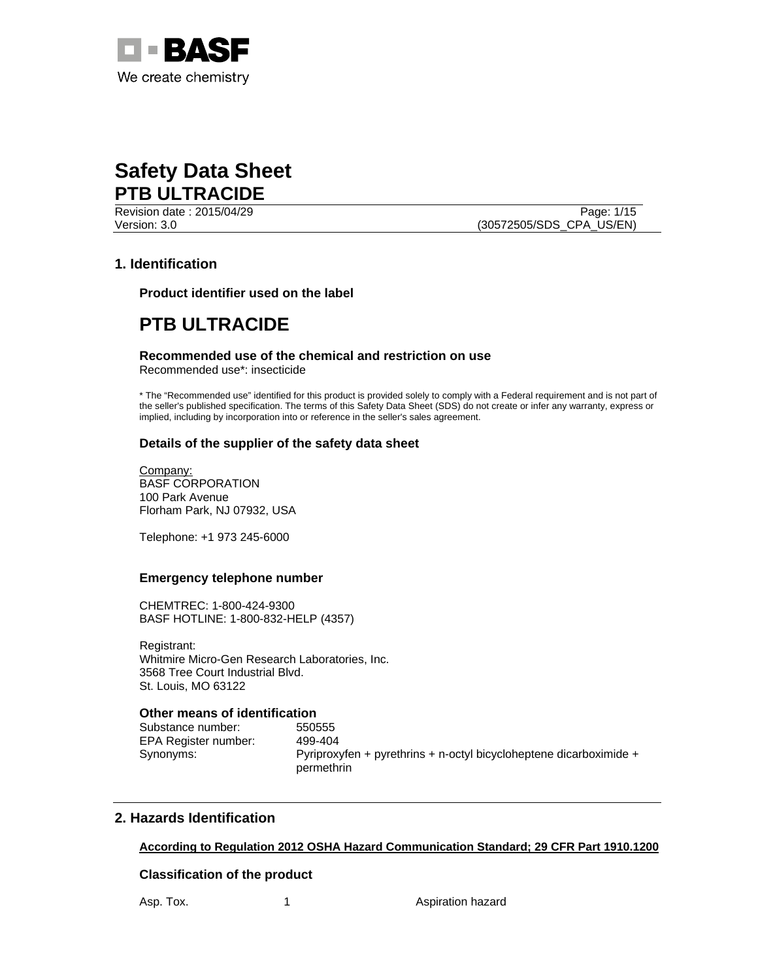

Revision date : 2015/04/29 Page: 1/15 Version: 3.0 (30572505/SDS\_CPA\_US/EN)

# **1. Identification**

**Product identifier used on the label** 

# **PTB ULTRACIDE**

# **Recommended use of the chemical and restriction on use**

Recommended use\*: insecticide

\* The "Recommended use" identified for this product is provided solely to comply with a Federal requirement and is not part of the seller's published specification. The terms of this Safety Data Sheet (SDS) do not create or infer any warranty, express or implied, including by incorporation into or reference in the seller's sales agreement.

# **Details of the supplier of the safety data sheet**

Company: BASF CORPORATION 100 Park Avenue Florham Park, NJ 07932, USA

Telephone: +1 973 245-6000

### **Emergency telephone number**

CHEMTREC: 1-800-424-9300 BASF HOTLINE: 1-800-832-HELP (4357)

Registrant: Whitmire Micro-Gen Research Laboratories, Inc. 3568 Tree Court Industrial Blvd. St. Louis, MO 63122

# **Other means of identification**

Substance number: 550555 EPA Register number: 499-404

Synonyms: Pyriproxyfen + pyrethrins + n-octyl bicycloheptene dicarboximide + permethrin

# **2. Hazards Identification**

# **According to Regulation 2012 OSHA Hazard Communication Standard; 29 CFR Part 1910.1200**

### **Classification of the product**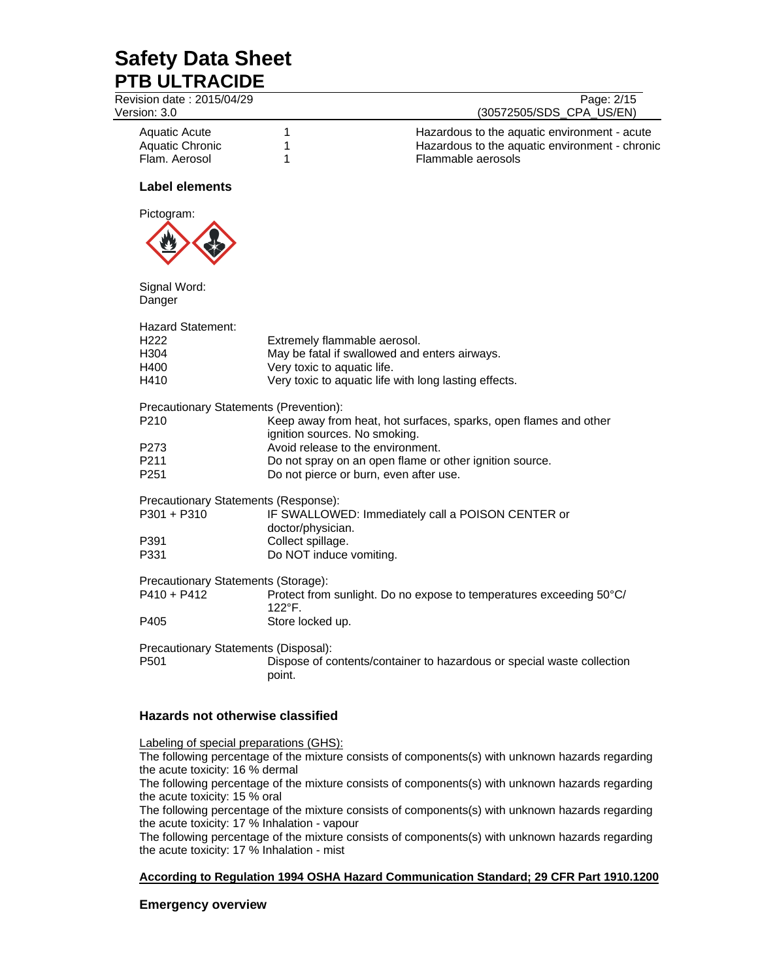Revision date : 2015/04/29 Page: 2/15

Version: 3.0 (30572505/SDS\_CPA\_US/EN)

Aquatic Acute 1 Hazardous to the aquatic environment - acute Aquatic Chronic 1 1 Hazardous to the aquatic environment - chronic Flam. Aerosol 1 Flammable aerosols

## **Label elements**



Signal Word:

Danger Hazard Statement: H222 Extremely flammable aerosol. H304 May be fatal if swallowed and enters airways. H400 Very toxic to aquatic life.<br>H410 Very toxic to aquatic life \ Very toxic to aquatic life with long lasting effects. Precautionary Statements (Prevention): P210 Keep away from heat, hot surfaces, sparks, open flames and other ignition sources. No smoking. P273 Avoid release to the environment. P211 Do not spray on an open flame or other ignition source. P251 Do not pierce or burn, even after use. Precautionary Statements (Response): P301 + P310 IF SWALLOWED: Immediately call a POISON CENTER or doctor/physician. P391 Collect spillage. P331 Do NOT induce vomiting. Precautionary Statements (Storage): P410 + P412 Protect from sunlight. Do no expose to temperatures exceeding 50°C/ 122°F. P405 Store locked up. Precautionary Statements (Disposal): P501 Dispose of contents/container to hazardous or special waste collection point.

# **Hazards not otherwise classified**

Labeling of special preparations (GHS):

The following percentage of the mixture consists of components(s) with unknown hazards regarding the acute toxicity: 16 % dermal

The following percentage of the mixture consists of components(s) with unknown hazards regarding the acute toxicity: 15 % oral

The following percentage of the mixture consists of components(s) with unknown hazards regarding the acute toxicity: 17 % Inhalation - vapour

The following percentage of the mixture consists of components(s) with unknown hazards regarding the acute toxicity: 17 % Inhalation - mist

### **According to Regulation 1994 OSHA Hazard Communication Standard; 29 CFR Part 1910.1200**

# **Emergency overview**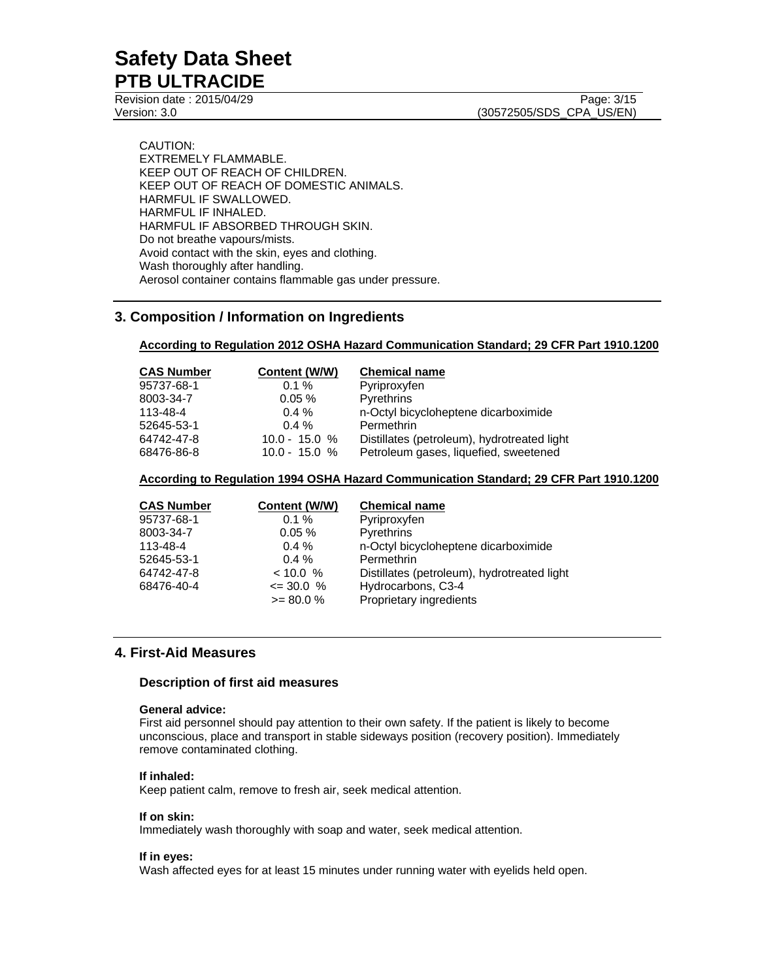Revision date : 2015/04/29 Page: 3/15

Version: 3.0 (30572505/SDS\_CPA\_US/EN)

CAUTION: EXTREMELY FLAMMABLE. KEEP OUT OF REACH OF CHILDREN. KEEP OUT OF REACH OF DOMESTIC ANIMALS. HARMFUL IF SWALLOWED. HARMFUL IF INHALED. HARMFUL IF ABSORBED THROUGH SKIN. Do not breathe vapours/mists. Avoid contact with the skin, eyes and clothing. Wash thoroughly after handling. Aerosol container contains flammable gas under pressure.

# **3. Composition / Information on Ingredients**

### **According to Regulation 2012 OSHA Hazard Communication Standard; 29 CFR Part 1910.1200**

| <b>CAS Number</b> | Content (W/W)   | <b>Chemical name</b>                        |
|-------------------|-----------------|---------------------------------------------|
| 95737-68-1        | $0.1 \%$        | Pyriproxyfen                                |
| 8003-34-7         | 0.05%           | Pyrethrins                                  |
| 113-48-4          | $0.4 \%$        | n-Octyl bicycloheptene dicarboximide        |
| 52645-53-1        | $0.4 \%$        | Permethrin                                  |
| 64742-47-8        | $10.0 - 15.0 %$ | Distillates (petroleum), hydrotreated light |
| 68476-86-8        | $10.0 - 15.0 %$ | Petroleum gases, liquefied, sweetened       |

### **According to Regulation 1994 OSHA Hazard Communication Standard; 29 CFR Part 1910.1200**

| <b>CAS Number</b> | Content (W/W) | <b>Chemical name</b>                        |
|-------------------|---------------|---------------------------------------------|
| 95737-68-1        | $0.1 \%$      | Pyriproxyfen                                |
| 8003-34-7         | $0.05\%$      | <b>Pyrethrins</b>                           |
| 113-48-4          | $0.4 \%$      | n-Octyl bicycloheptene dicarboximide        |
| 52645-53-1        | $0.4 \%$      | Permethrin                                  |
| 64742-47-8        | $< 10.0 \%$   | Distillates (petroleum), hydrotreated light |
| 68476-40-4        | $\leq$ 30.0 % | Hydrocarbons, C3-4                          |
|                   | $>= 80.0 %$   | Proprietary ingredients                     |

# **4. First-Aid Measures**

### **Description of first aid measures**

## **General advice:**

First aid personnel should pay attention to their own safety. If the patient is likely to become unconscious, place and transport in stable sideways position (recovery position). Immediately remove contaminated clothing.

### **If inhaled:**

Keep patient calm, remove to fresh air, seek medical attention.

### **If on skin:**

Immediately wash thoroughly with soap and water, seek medical attention.

#### **If in eyes:**

Wash affected eyes for at least 15 minutes under running water with eyelids held open.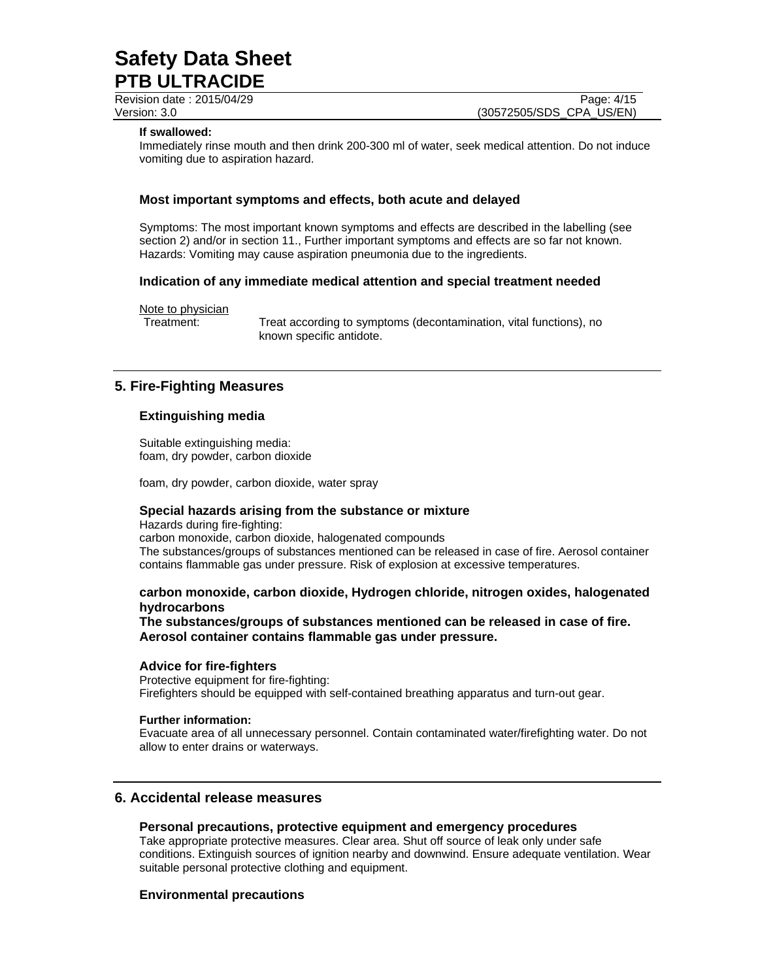Revision date : 2015/04/29 Page: 4/15

Version: 3.0 (30572505/SDS\_CPA\_US/EN)

### **If swallowed:**

Immediately rinse mouth and then drink 200-300 ml of water, seek medical attention. Do not induce vomiting due to aspiration hazard.

### **Most important symptoms and effects, both acute and delayed**

Symptoms: The most important known symptoms and effects are described in the labelling (see section 2) and/or in section 11., Further important symptoms and effects are so far not known. Hazards: Vomiting may cause aspiration pneumonia due to the ingredients.

### **Indication of any immediate medical attention and special treatment needed**

Note to physician

Treatment: Treat according to symptoms (decontamination, vital functions), no known specific antidote.

## **5. Fire-Fighting Measures**

## **Extinguishing media**

Suitable extinguishing media: foam, dry powder, carbon dioxide

foam, dry powder, carbon dioxide, water spray

## **Special hazards arising from the substance or mixture**

Hazards during fire-fighting: carbon monoxide, carbon dioxide, halogenated compounds The substances/groups of substances mentioned can be released in case of fire. Aerosol container contains flammable gas under pressure. Risk of explosion at excessive temperatures.

## **carbon monoxide, carbon dioxide, Hydrogen chloride, nitrogen oxides, halogenated hydrocarbons**

**The substances/groups of substances mentioned can be released in case of fire. Aerosol container contains flammable gas under pressure.** 

### **Advice for fire-fighters**

Protective equipment for fire-fighting: Firefighters should be equipped with self-contained breathing apparatus and turn-out gear.

#### **Further information:**

Evacuate area of all unnecessary personnel. Contain contaminated water/firefighting water. Do not allow to enter drains or waterways.

# **6. Accidental release measures**

#### **Personal precautions, protective equipment and emergency procedures**

Take appropriate protective measures. Clear area. Shut off source of leak only under safe conditions. Extinguish sources of ignition nearby and downwind. Ensure adequate ventilation. Wear suitable personal protective clothing and equipment.

#### **Environmental precautions**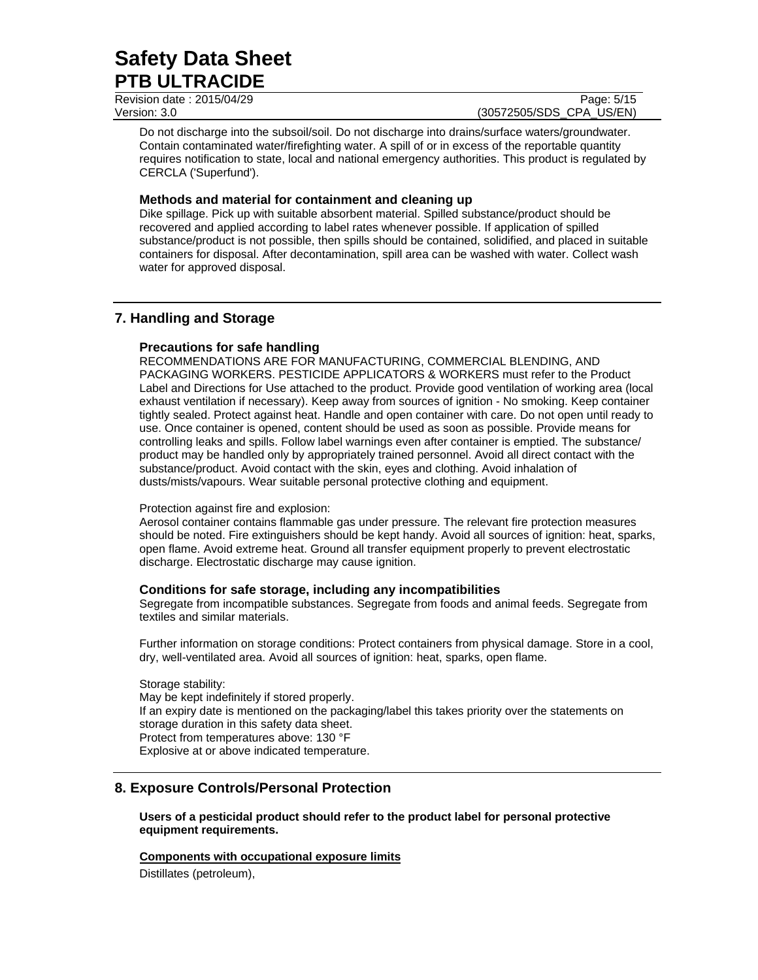Revision date : 2015/04/29 Page: 5/15 Version: 3.0 (30572505/SDS\_CPA\_US/EN)

Do not discharge into the subsoil/soil. Do not discharge into drains/surface waters/groundwater. Contain contaminated water/firefighting water. A spill of or in excess of the reportable quantity requires notification to state, local and national emergency authorities. This product is regulated by CERCLA ('Superfund').

## **Methods and material for containment and cleaning up**

Dike spillage. Pick up with suitable absorbent material. Spilled substance/product should be recovered and applied according to label rates whenever possible. If application of spilled substance/product is not possible, then spills should be contained, solidified, and placed in suitable containers for disposal. After decontamination, spill area can be washed with water. Collect wash water for approved disposal.

# **7. Handling and Storage**

# **Precautions for safe handling**

RECOMMENDATIONS ARE FOR MANUFACTURING, COMMERCIAL BLENDING, AND PACKAGING WORKERS. PESTICIDE APPLICATORS & WORKERS must refer to the Product Label and Directions for Use attached to the product. Provide good ventilation of working area (local exhaust ventilation if necessary). Keep away from sources of ignition - No smoking. Keep container tightly sealed. Protect against heat. Handle and open container with care. Do not open until ready to use. Once container is opened, content should be used as soon as possible. Provide means for controlling leaks and spills. Follow label warnings even after container is emptied. The substance/ product may be handled only by appropriately trained personnel. Avoid all direct contact with the substance/product. Avoid contact with the skin, eyes and clothing. Avoid inhalation of dusts/mists/vapours. Wear suitable personal protective clothing and equipment.

### Protection against fire and explosion:

Aerosol container contains flammable gas under pressure. The relevant fire protection measures should be noted. Fire extinguishers should be kept handy. Avoid all sources of ignition: heat, sparks, open flame. Avoid extreme heat. Ground all transfer equipment properly to prevent electrostatic discharge. Electrostatic discharge may cause ignition.

# **Conditions for safe storage, including any incompatibilities**

Segregate from incompatible substances. Segregate from foods and animal feeds. Segregate from textiles and similar materials.

Further information on storage conditions: Protect containers from physical damage. Store in a cool, dry, well-ventilated area. Avoid all sources of ignition: heat, sparks, open flame.

Storage stability: May be kept indefinitely if stored properly. If an expiry date is mentioned on the packaging/label this takes priority over the statements on storage duration in this safety data sheet. Protect from temperatures above: 130 °F Explosive at or above indicated temperature.

# **8. Exposure Controls/Personal Protection**

**Users of a pesticidal product should refer to the product label for personal protective equipment requirements.** 

**Components with occupational exposure limits**  Distillates (petroleum),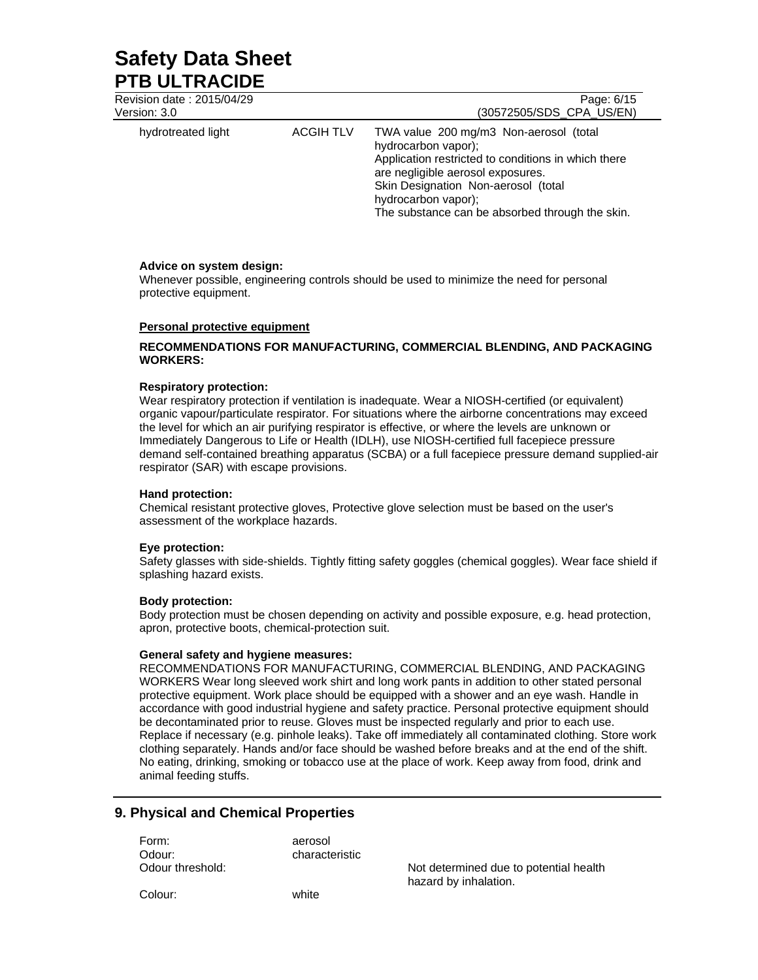| Revision date: 2015/04/29<br>Version: 3.0 |                  | Page: 6/15<br>(30572505/SDS CPA US/EN)                                                                                                                                                                                                                                     |
|-------------------------------------------|------------------|----------------------------------------------------------------------------------------------------------------------------------------------------------------------------------------------------------------------------------------------------------------------------|
| hydrotreated light                        | <b>ACGIH TLV</b> | TWA value 200 mg/m3 Non-aerosol (total<br>hydrocarbon vapor);<br>Application restricted to conditions in which there<br>are negligible aerosol exposures.<br>Skin Designation Non-aerosol (total<br>hydrocarbon vapor);<br>The substance can be absorbed through the skin. |

### **Advice on system design:**

Whenever possible, engineering controls should be used to minimize the need for personal protective equipment.

### **Personal protective equipment**

## **RECOMMENDATIONS FOR MANUFACTURING, COMMERCIAL BLENDING, AND PACKAGING WORKERS:**

#### **Respiratory protection:**

Wear respiratory protection if ventilation is inadequate. Wear a NIOSH-certified (or equivalent) organic vapour/particulate respirator. For situations where the airborne concentrations may exceed the level for which an air purifying respirator is effective, or where the levels are unknown or Immediately Dangerous to Life or Health (IDLH), use NIOSH-certified full facepiece pressure demand self-contained breathing apparatus (SCBA) or a full facepiece pressure demand supplied-air respirator (SAR) with escape provisions.

#### **Hand protection:**

Chemical resistant protective gloves, Protective glove selection must be based on the user's assessment of the workplace hazards.

### **Eye protection:**

Safety glasses with side-shields. Tightly fitting safety goggles (chemical goggles). Wear face shield if splashing hazard exists.

### **Body protection:**

Body protection must be chosen depending on activity and possible exposure, e.g. head protection, apron, protective boots, chemical-protection suit.

#### **General safety and hygiene measures:**

RECOMMENDATIONS FOR MANUFACTURING, COMMERCIAL BLENDING, AND PACKAGING WORKERS Wear long sleeved work shirt and long work pants in addition to other stated personal protective equipment. Work place should be equipped with a shower and an eye wash. Handle in accordance with good industrial hygiene and safety practice. Personal protective equipment should be decontaminated prior to reuse. Gloves must be inspected regularly and prior to each use. Replace if necessary (e.g. pinhole leaks). Take off immediately all contaminated clothing. Store work clothing separately. Hands and/or face should be washed before breaks and at the end of the shift. No eating, drinking, smoking or tobacco use at the place of work. Keep away from food, drink and animal feeding stuffs.

# **9. Physical and Chemical Properties**

| Form:            | aerosol        |
|------------------|----------------|
| Odour:           | characteristic |
| Odour threshold: |                |
|                  |                |

Not determined due to potential health hazard by inhalation.

Colour: white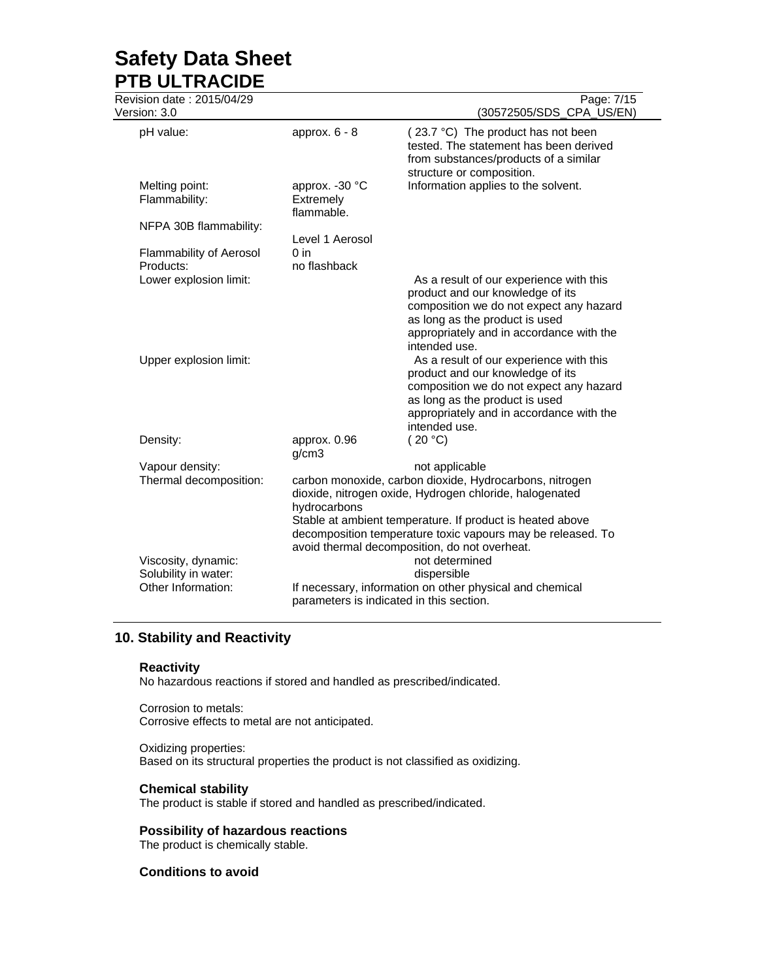Revision date : 2015/04/29 Page: 7/15

| Version: 3.0                                |                                            | 1 agu. <i>11</i> 10<br>(30572505/SDS_CPA_US/EN)                                                                                                                                                                                                                  |
|---------------------------------------------|--------------------------------------------|------------------------------------------------------------------------------------------------------------------------------------------------------------------------------------------------------------------------------------------------------------------|
| pH value:                                   | approx. $6 - 8$                            | (23.7 °C) The product has not been<br>tested. The statement has been derived<br>from substances/products of a similar<br>structure or composition.                                                                                                               |
| Melting point:<br>Flammability:             | approx. - 30 °C<br>Extremely<br>flammable. | Information applies to the solvent.                                                                                                                                                                                                                              |
| NFPA 30B flammability:                      |                                            |                                                                                                                                                                                                                                                                  |
| Flammability of Aerosol<br>Products:        | Level 1 Aerosol<br>$0$ in<br>no flashback  |                                                                                                                                                                                                                                                                  |
| Lower explosion limit:                      |                                            | As a result of our experience with this<br>product and our knowledge of its<br>composition we do not expect any hazard<br>as long as the product is used<br>appropriately and in accordance with the<br>intended use.                                            |
| Upper explosion limit:                      |                                            | As a result of our experience with this<br>product and our knowledge of its<br>composition we do not expect any hazard<br>as long as the product is used<br>appropriately and in accordance with the<br>intended use.                                            |
| Density:                                    | approx. 0.96                               | (20 °C)                                                                                                                                                                                                                                                          |
|                                             | g/cm3                                      |                                                                                                                                                                                                                                                                  |
| Vapour density:<br>Thermal decomposition:   | hydrocarbons                               | not applicable<br>carbon monoxide, carbon dioxide, Hydrocarbons, nitrogen<br>dioxide, nitrogen oxide, Hydrogen chloride, halogenated<br>Stable at ambient temperature. If product is heated above<br>decomposition temperature toxic vapours may be released. To |
|                                             |                                            | avoid thermal decomposition, do not overheat.<br>not determined                                                                                                                                                                                                  |
| Viscosity, dynamic:<br>Solubility in water: |                                            | dispersible                                                                                                                                                                                                                                                      |
| Other Information:                          |                                            | If necessary, information on other physical and chemical<br>parameters is indicated in this section.                                                                                                                                                             |

# **10. Stability and Reactivity**

# **Reactivity**

No hazardous reactions if stored and handled as prescribed/indicated.

Corrosion to metals: Corrosive effects to metal are not anticipated.

Oxidizing properties: Based on its structural properties the product is not classified as oxidizing.

# **Chemical stability**

The product is stable if stored and handled as prescribed/indicated.

# **Possibility of hazardous reactions**

The product is chemically stable.

# **Conditions to avoid**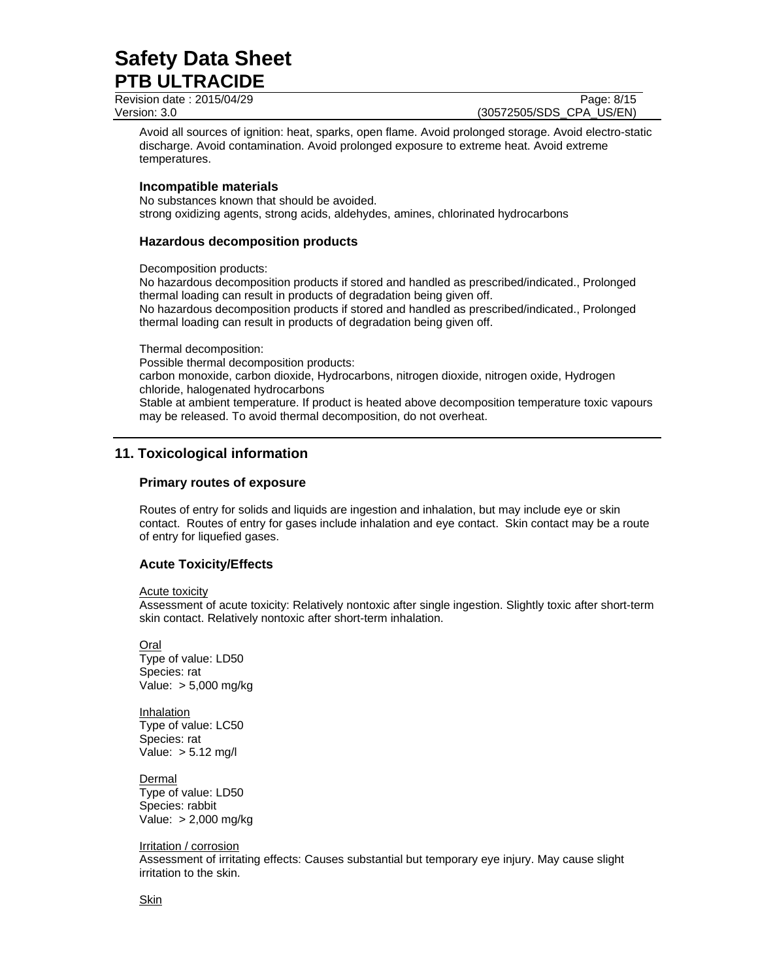Revision date : 2015/04/29 Page: 8/15

Version: 3.0 (30572505/SDS\_CPA\_US/EN)

Avoid all sources of ignition: heat, sparks, open flame. Avoid prolonged storage. Avoid electro-static discharge. Avoid contamination. Avoid prolonged exposure to extreme heat. Avoid extreme temperatures.

## **Incompatible materials**

No substances known that should be avoided. strong oxidizing agents, strong acids, aldehydes, amines, chlorinated hydrocarbons

# **Hazardous decomposition products**

Decomposition products:

No hazardous decomposition products if stored and handled as prescribed/indicated., Prolonged thermal loading can result in products of degradation being given off. No hazardous decomposition products if stored and handled as prescribed/indicated., Prolonged thermal loading can result in products of degradation being given off.

Thermal decomposition:

Possible thermal decomposition products: carbon monoxide, carbon dioxide, Hydrocarbons, nitrogen dioxide, nitrogen oxide, Hydrogen chloride, halogenated hydrocarbons Stable at ambient temperature. If product is heated above decomposition temperature toxic vapours may be released. To avoid thermal decomposition, do not overheat.

# **11. Toxicological information**

## **Primary routes of exposure**

Routes of entry for solids and liquids are ingestion and inhalation, but may include eye or skin contact. Routes of entry for gases include inhalation and eye contact. Skin contact may be a route of entry for liquefied gases.

# **Acute Toxicity/Effects**

### Acute toxicity

Assessment of acute toxicity: Relatively nontoxic after single ingestion. Slightly toxic after short-term skin contact. Relatively nontoxic after short-term inhalation.

Oral Type of value: LD50 Species: rat Value: > 5,000 mg/kg

Inhalation Type of value: LC50 Species: rat Value: > 5.12 mg/l

Dermal Type of value: LD50 Species: rabbit Value: > 2,000 mg/kg

Irritation / corrosion

Assessment of irritating effects: Causes substantial but temporary eye injury. May cause slight irritation to the skin.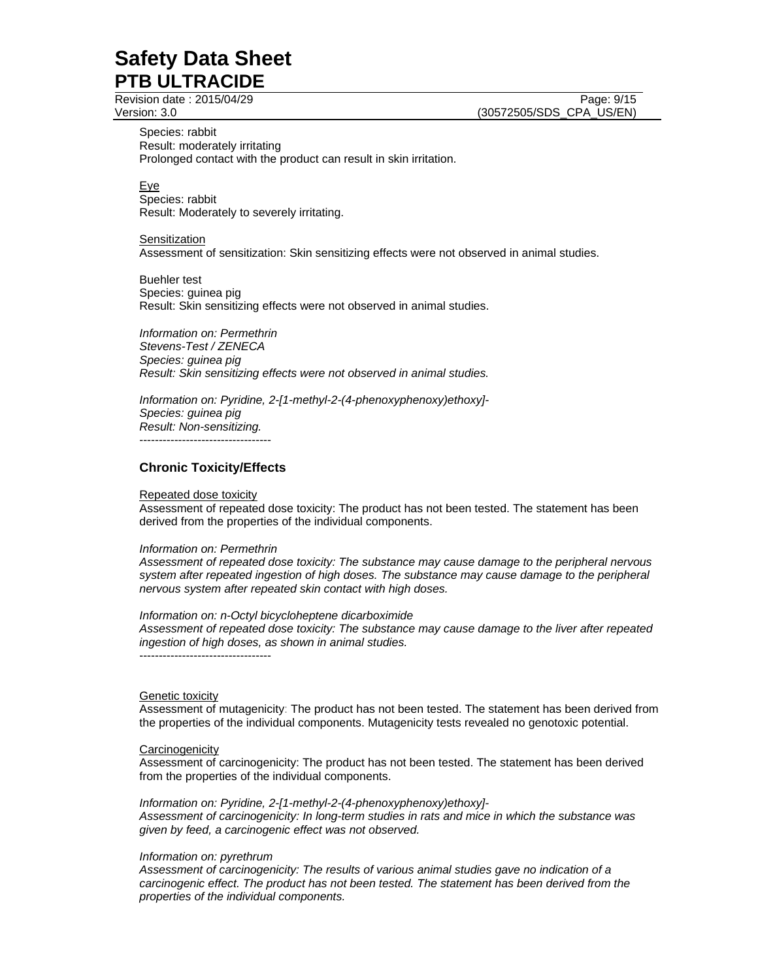Revision date : 2015/04/29 Page: 9/15

Species: rabbit Result: moderately irritating Prolonged contact with the product can result in skin irritation.

<u>Eye</u> Species: rabbit Result: Moderately to severely irritating.

**Sensitization** Assessment of sensitization: Skin sensitizing effects were not observed in animal studies.

Buehler test Species: guinea pig Result: Skin sensitizing effects were not observed in animal studies.

*Information on: Permethrin Stevens-Test / ZENECA Species: guinea pig Result: Skin sensitizing effects were not observed in animal studies.* 

*Information on: Pyridine, 2-[1-methyl-2-(4-phenoxyphenoxy)ethoxy]- Species: guinea pig Result: Non-sensitizing.*  ----------------------------------

# **Chronic Toxicity/Effects**

### Repeated dose toxicity

Assessment of repeated dose toxicity: The product has not been tested. The statement has been derived from the properties of the individual components.

### *Information on: Permethrin*

*Assessment of repeated dose toxicity: The substance may cause damage to the peripheral nervous system after repeated ingestion of high doses. The substance may cause damage to the peripheral nervous system after repeated skin contact with high doses.* 

*Information on: n-Octyl bicycloheptene dicarboximide Assessment of repeated dose toxicity: The substance may cause damage to the liver after repeated ingestion of high doses, as shown in animal studies.*  ----------------------------------

### Genetic toxicity

Assessment of mutagenicity: The product has not been tested. The statement has been derived from the properties of the individual components. Mutagenicity tests revealed no genotoxic potential.

### **Carcinogenicity**

Assessment of carcinogenicity: The product has not been tested. The statement has been derived from the properties of the individual components.

*Information on: Pyridine, 2-[1-methyl-2-(4-phenoxyphenoxy)ethoxy]- Assessment of carcinogenicity: In long-term studies in rats and mice in which the substance was given by feed, a carcinogenic effect was not observed.* 

### *Information on: pyrethrum*

*Assessment of carcinogenicity: The results of various animal studies gave no indication of a carcinogenic effect. The product has not been tested. The statement has been derived from the properties of the individual components.*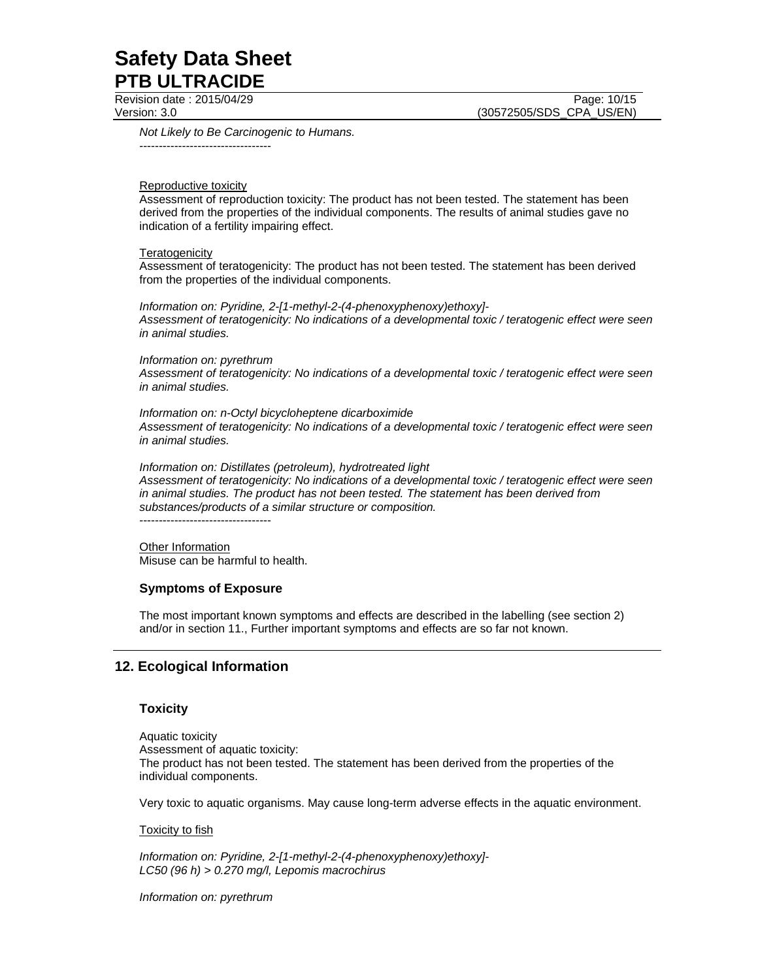Revision date : 2015/04/29 Page: 10/15

Version: 3.0 (30572505/SDS\_CPA\_US/EN)

*Not Likely to Be Carcinogenic to Humans.*  ----------------------------------

### Reproductive toxicity

Assessment of reproduction toxicity: The product has not been tested. The statement has been derived from the properties of the individual components. The results of animal studies gave no indication of a fertility impairing effect.

### **Teratogenicity**

Assessment of teratogenicity: The product has not been tested. The statement has been derived from the properties of the individual components.

*Information on: Pyridine, 2-[1-methyl-2-(4-phenoxyphenoxy)ethoxy]- Assessment of teratogenicity: No indications of a developmental toxic / teratogenic effect were seen in animal studies.* 

### *Information on: pyrethrum*

*Assessment of teratogenicity: No indications of a developmental toxic / teratogenic effect were seen in animal studies.* 

*Information on: n-Octyl bicycloheptene dicarboximide Assessment of teratogenicity: No indications of a developmental toxic / teratogenic effect were seen in animal studies.* 

*Information on: Distillates (petroleum), hydrotreated light Assessment of teratogenicity: No indications of a developmental toxic / teratogenic effect were seen in animal studies. The product has not been tested. The statement has been derived from substances/products of a similar structure or composition.* 

----------------------------------

Other Information Misuse can be harmful to health.

# **Symptoms of Exposure**

The most important known symptoms and effects are described in the labelling (see section 2) and/or in section 11., Further important symptoms and effects are so far not known.

# **12. Ecological Information**

# **Toxicity**

Aquatic toxicity Assessment of aquatic toxicity: The product has not been tested. The statement has been derived from the properties of the individual components.

Very toxic to aquatic organisms. May cause long-term adverse effects in the aquatic environment.

### **Toxicity to fish**

*Information on: Pyridine, 2-[1-methyl-2-(4-phenoxyphenoxy)ethoxy]- LC50 (96 h) > 0.270 mg/l, Lepomis macrochirus* 

*Information on: pyrethrum*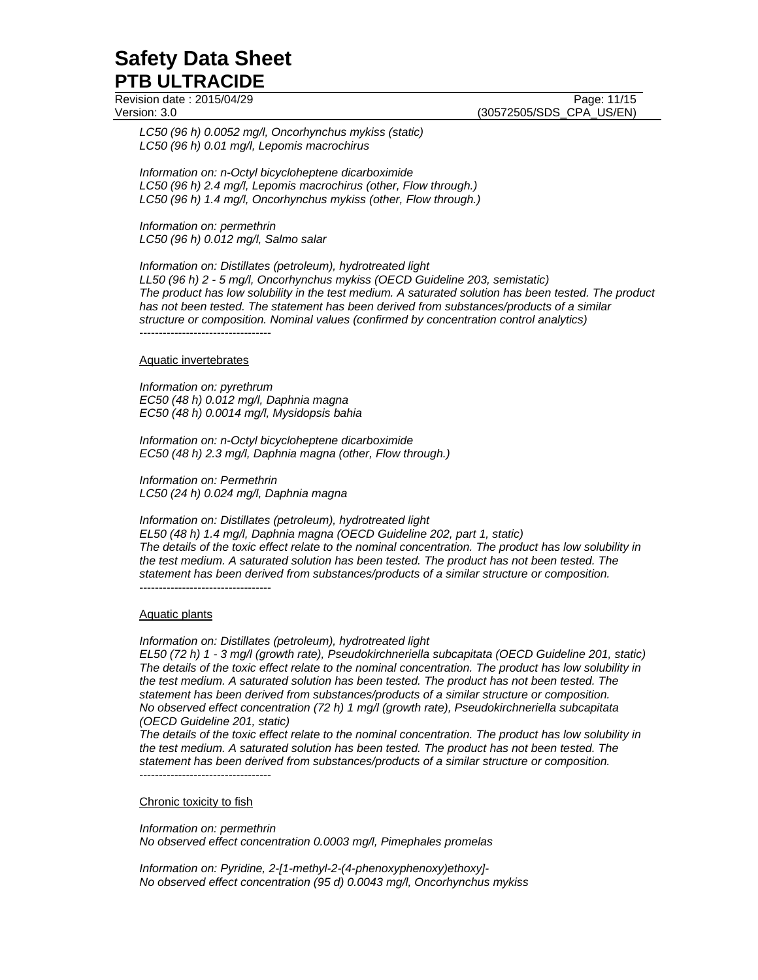Revision date : 2015/04/29 **Page: 11/15** Page: 11/15

Version: 3.0 (30572505/SDS\_CPA\_US/EN)

*LC50 (96 h) 0.0052 mg/l, Oncorhynchus mykiss (static) LC50 (96 h) 0.01 mg/l, Lepomis macrochirus* 

*Information on: n-Octyl bicycloheptene dicarboximide LC50 (96 h) 2.4 mg/l, Lepomis macrochirus (other, Flow through.) LC50 (96 h) 1.4 mg/l, Oncorhynchus mykiss (other, Flow through.)* 

*Information on: permethrin LC50 (96 h) 0.012 mg/l, Salmo salar* 

*Information on: Distillates (petroleum), hydrotreated light* 

*LL50 (96 h) 2 - 5 mg/l, Oncorhynchus mykiss (OECD Guideline 203, semistatic) The product has low solubility in the test medium. A saturated solution has been tested. The product has not been tested. The statement has been derived from substances/products of a similar structure or composition. Nominal values (confirmed by concentration control analytics)*  ----------------------------------

### Aquatic invertebrates

*Information on: pyrethrum EC50 (48 h) 0.012 mg/l, Daphnia magna EC50 (48 h) 0.0014 mg/l, Mysidopsis bahia* 

*Information on: n-Octyl bicycloheptene dicarboximide EC50 (48 h) 2.3 mg/l, Daphnia magna (other, Flow through.)* 

*Information on: Permethrin LC50 (24 h) 0.024 mg/l, Daphnia magna* 

*Information on: Distillates (petroleum), hydrotreated light EL50 (48 h) 1.4 mg/l, Daphnia magna (OECD Guideline 202, part 1, static) The details of the toxic effect relate to the nominal concentration. The product has low solubility in the test medium. A saturated solution has been tested. The product has not been tested. The statement has been derived from substances/products of a similar structure or composition.*  ----------------------------------

### Aquatic plants

*Information on: Distillates (petroleum), hydrotreated light* 

*EL50 (72 h) 1 - 3 mg/l (growth rate), Pseudokirchneriella subcapitata (OECD Guideline 201, static) The details of the toxic effect relate to the nominal concentration. The product has low solubility in the test medium. A saturated solution has been tested. The product has not been tested. The statement has been derived from substances/products of a similar structure or composition. No observed effect concentration (72 h) 1 mg/l (growth rate), Pseudokirchneriella subcapitata (OECD Guideline 201, static)* 

*The details of the toxic effect relate to the nominal concentration. The product has low solubility in the test medium. A saturated solution has been tested. The product has not been tested. The statement has been derived from substances/products of a similar structure or composition.*  ----------------------------------

#### Chronic toxicity to fish

*Information on: permethrin No observed effect concentration 0.0003 mg/l, Pimephales promelas* 

*Information on: Pyridine, 2-[1-methyl-2-(4-phenoxyphenoxy)ethoxy]- No observed effect concentration (95 d) 0.0043 mg/l, Oncorhynchus mykiss*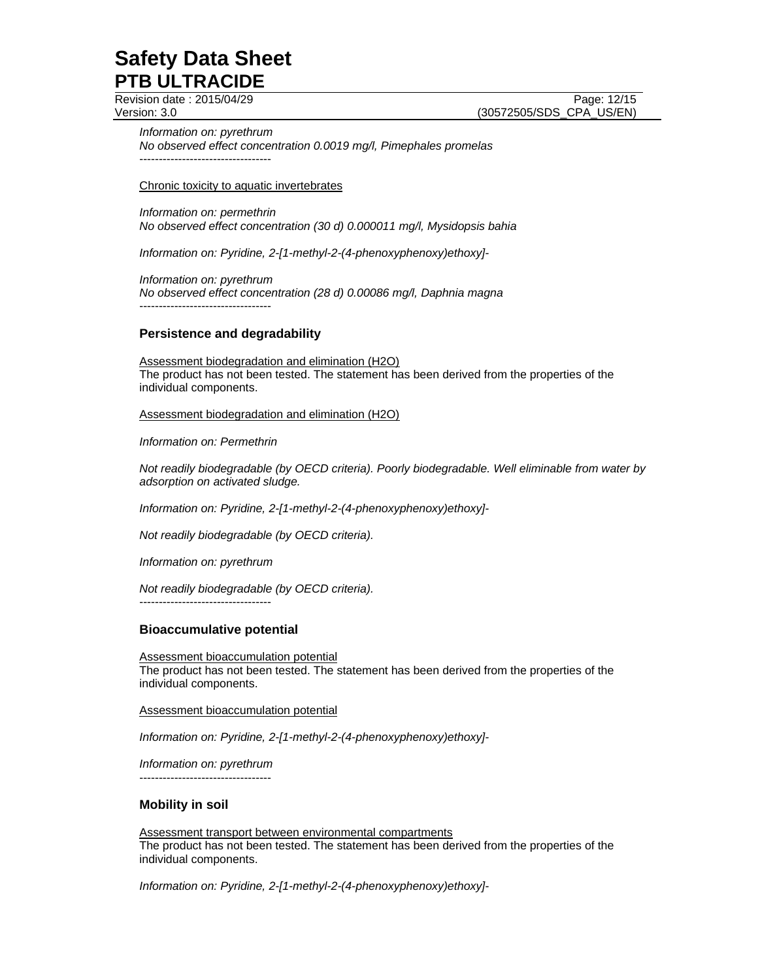Revision date : 2015/04/29 Page: 12/15

Version: 3.0 (30572505/SDS\_CPA\_US/EN)

*Information on: pyrethrum No observed effect concentration 0.0019 mg/l, Pimephales promelas*  ----------------------------------

Chronic toxicity to aquatic invertebrates

*Information on: permethrin No observed effect concentration (30 d) 0.000011 mg/l, Mysidopsis bahia* 

*Information on: Pyridine, 2-[1-methyl-2-(4-phenoxyphenoxy)ethoxy]-* 

*Information on: pyrethrum No observed effect concentration (28 d) 0.00086 mg/l, Daphnia magna*  ----------------------------------

# **Persistence and degradability**

Assessment biodegradation and elimination (H2O) The product has not been tested. The statement has been derived from the properties of the individual components.

Assessment biodegradation and elimination (H2O)

*Information on: Permethrin* 

*Not readily biodegradable (by OECD criteria). Poorly biodegradable. Well eliminable from water by adsorption on activated sludge.* 

*Information on: Pyridine, 2-[1-methyl-2-(4-phenoxyphenoxy)ethoxy]-* 

*Not readily biodegradable (by OECD criteria).* 

*Information on: pyrethrum* 

*Not readily biodegradable (by OECD criteria).* 

----------------------------------

### **Bioaccumulative potential**

Assessment bioaccumulation potential The product has not been tested. The statement has been derived from the properties of the individual components.

Assessment bioaccumulation potential

*Information on: Pyridine, 2-[1-methyl-2-(4-phenoxyphenoxy)ethoxy]-* 

*Information on: pyrethrum*  ----------------------------------

# **Mobility in soil**

Assessment transport between environmental compartments The product has not been tested. The statement has been derived from the properties of the individual components.

*Information on: Pyridine, 2-[1-methyl-2-(4-phenoxyphenoxy)ethoxy]-*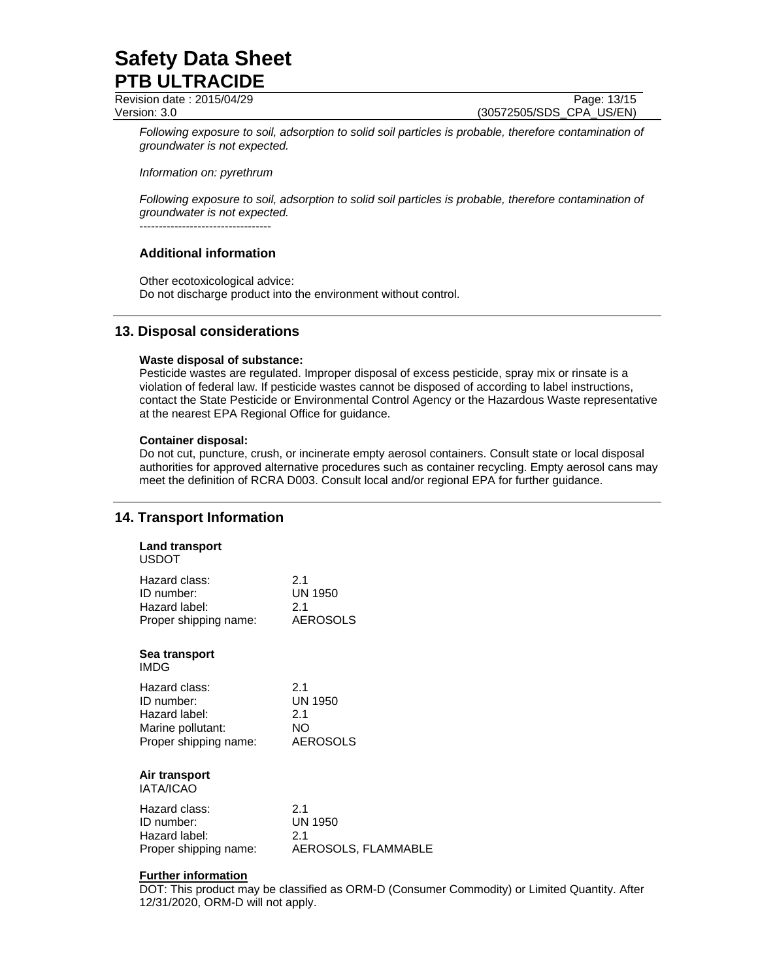Revision date : 2015/04/29 Page: 13/15 Version: 3.0 (30572505/SDS\_CPA\_US/EN)

*Following exposure to soil, adsorption to solid soil particles is probable, therefore contamination of groundwater is not expected.*

*Information on: pyrethrum* 

*Following exposure to soil, adsorption to solid soil particles is probable, therefore contamination of groundwater is not expected.*

----------------------------------

# **Additional information**

Other ecotoxicological advice: Do not discharge product into the environment without control.

# **13. Disposal considerations**

## **Waste disposal of substance:**

Pesticide wastes are regulated. Improper disposal of excess pesticide, spray mix or rinsate is a violation of federal law. If pesticide wastes cannot be disposed of according to label instructions, contact the State Pesticide or Environmental Control Agency or the Hazardous Waste representative at the nearest EPA Regional Office for guidance.

## **Container disposal:**

Do not cut, puncture, crush, or incinerate empty aerosol containers. Consult state or local disposal authorities for approved alternative procedures such as container recycling. Empty aerosol cans may meet the definition of RCRA D003. Consult local and/or regional EPA for further guidance.

# **14. Transport Information**

| <b>Land transport</b><br><b>USDOT</b> |                     |
|---------------------------------------|---------------------|
| Hazard class:                         | 2.1                 |
| ID number:                            | <b>UN 1950</b>      |
| Hazard label:                         | 2.1                 |
| Proper shipping name:                 | <b>AEROSOLS</b>     |
| Sea transport<br><b>IMDG</b>          |                     |
| Hazard class:                         | 21                  |
| ID number:                            | <b>UN 1950</b>      |
| Hazard label:                         | 2.1                 |
| Marine pollutant:                     | NO.                 |
| Proper shipping name:                 | <b>AEROSOLS</b>     |
| Air transport<br>IATA/ICAO            |                     |
| Hazard class:                         | 2.1                 |
| ID number:                            | <b>UN 1950</b>      |
| Hazard label:                         | 2.1                 |
| Proper shipping name:                 | AEROSOLS, FLAMMABLE |

# **Further information**

DOT: This product may be classified as ORM-D (Consumer Commodity) or Limited Quantity. After 12/31/2020, ORM-D will not apply.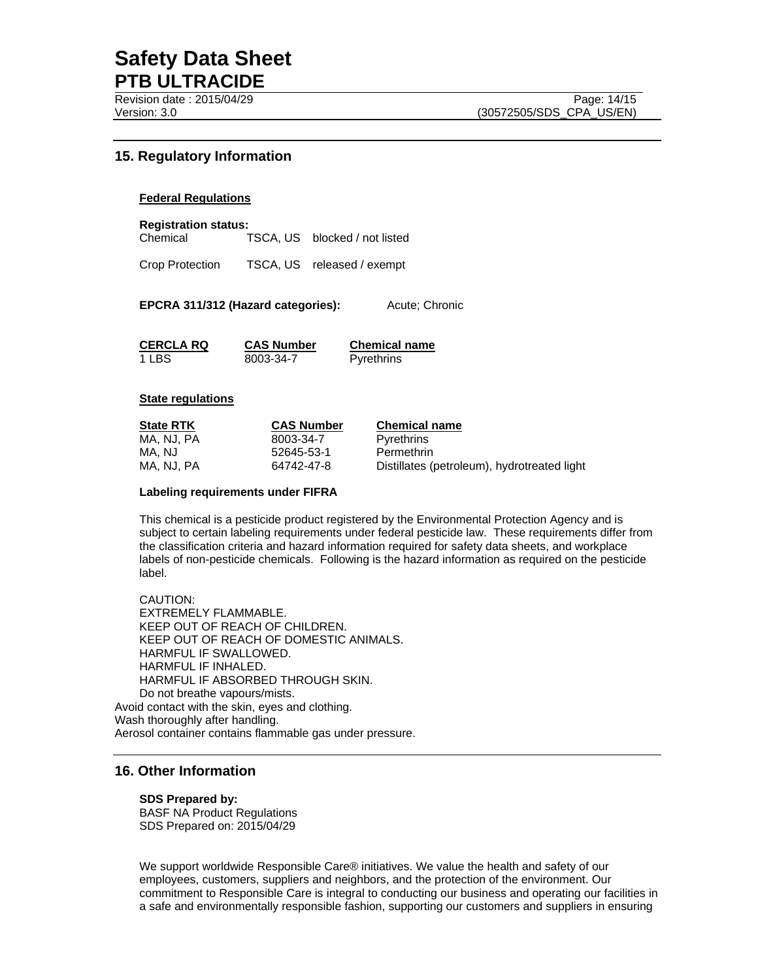# **15. Regulatory Information**

### **Federal Regulations**

**Registration status:**  Chemical TSCA, US blocked / not listed

Crop Protection TSCA, US released / exempt

**EPCRA 311/312 (Hazard categories):** Acute; Chronic

**CERCLA RQ CAS Number Chemical name** 1 LBS 8003-34-7 Pyrethrins

### **State regulations**

| <b>State RTK</b> | <b>CAS Number</b> | <b>Chemical name</b>                        |
|------------------|-------------------|---------------------------------------------|
| MA. NJ. PA       | 8003-34-7         | Pyrethrins                                  |
| MA. NJ           | 52645-53-1        | Permethrin                                  |
| MA. NJ. PA       | 64742-47-8        | Distillates (petroleum), hydrotreated light |

#### **Labeling requirements under FIFRA**

This chemical is a pesticide product registered by the Environmental Protection Agency and is subject to certain labeling requirements under federal pesticide law. These requirements differ from the classification criteria and hazard information required for safety data sheets, and workplace labels of non-pesticide chemicals. Following is the hazard information as required on the pesticide label.

CAUTION: EXTREMELY FLAMMABLE. KEEP OUT OF REACH OF CHILDREN. KEEP OUT OF REACH OF DOMESTIC ANIMALS. HARMFUL IF SWALLOWED. HARMFUL IF INHALED. HARMFUL IF ABSORBED THROUGH SKIN. Do not breathe vapours/mists. Avoid contact with the skin, eyes and clothing. Wash thoroughly after handling. Aerosol container contains flammable gas under pressure.

# **16. Other Information**

### **SDS Prepared by:**

BASF NA Product Regulations SDS Prepared on: 2015/04/29

We support worldwide Responsible Care® initiatives. We value the health and safety of our employees, customers, suppliers and neighbors, and the protection of the environment. Our commitment to Responsible Care is integral to conducting our business and operating our facilities in a safe and environmentally responsible fashion, supporting our customers and suppliers in ensuring